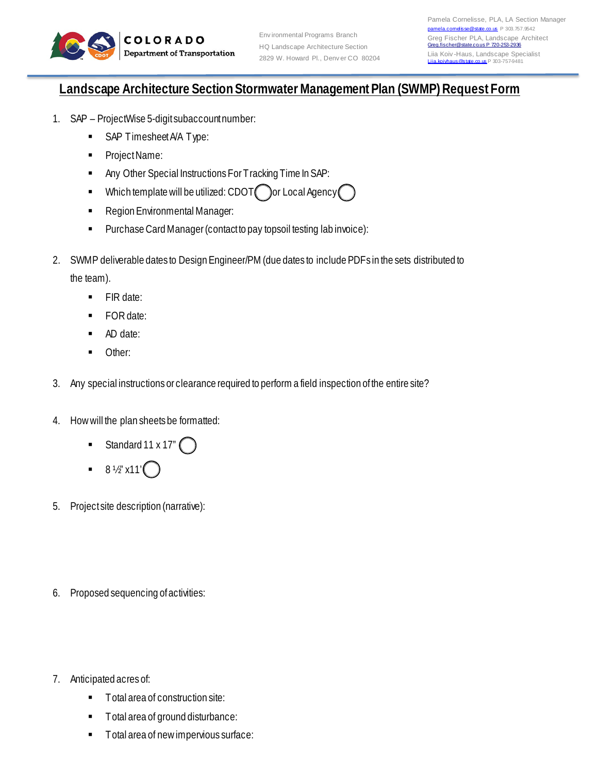

## **Landscape Architecture Section Stormwater Management Plan (SWMP) Request Form**

- 1. SAP ProjectWise 5-digit subaccount number:
	- SAP Timesheet A/A Type:
	- **Project Name:**
	- **Any Other Special Instructions For Tracking Time In SAP:**
	- $\blacksquare$  Which template will be utilized: CDOT or Local Agency
	- **Region Environmental Manager:**
	- **Purchase Card Manager (contact to pay topsoil testing lab invoice):**
- 2. SWMP deliverable dates to Design Engineer/PM (due dates to include PDFs in the sets distributed to the team).
	- **FIR date:**
	- **FOR date:**
	- AD date:
	- **Other:**
- 3. Any special instructions or clearance required to perform a field inspection of the entire site?
- 4. How will the plan sheets be formatted:
	- Standard 11 x 17" $\bigcap$
	- 8 ½" x11'
- 5. Project site description (narrative):
- 6. Proposed sequencing of activities:
- 7. Anticipated acres of:
	- Total area of construction site:
	- Total area of ground disturbance:
	- **Total area of new impervious surface:**